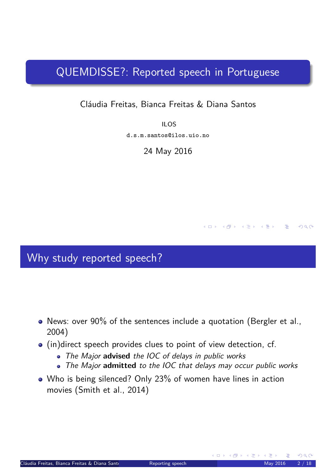## QUEMDISSE?: Reported speech in Portuguese

#### Cláudia Freitas, Bianca Freitas & Diana Santos

ILOS d.s.m.santos@ilos.uio.no

24 May 2016

#### Why study reported speech?

- News: over 90% of the sentences include a quotation (Bergler et al., 2004)
- (in)direct speech provides clues to point of view detection, cf.
	- The Major **advised** the IOC of delays in public works
	- The Major **admitted** to the IOC that delays may occur public works
- <span id="page-0-1"></span><span id="page-0-0"></span>• Who is being silenced? Only 23% of women have lines in action movies (Smith et al., 2014)

K ロ ▶ 〈 何 ▶ 〈 글 ▶ 〈 글 ▶ │ 글 │

 $R$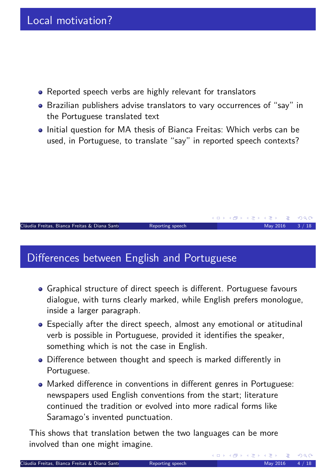- Reported speech verbs are highly relevant for translators
- Brazilian publishers advise translators to vary occurrences of "say" in the Portuguese translated text
- Initial question for MA thesis of Bianca Freitas: Which verbs can be used, in Portuguese, to translate "say" in reported speech contexts?

# Differences between English and Portuguese

Graphical structure of direct speech is different. Portuguese favours dialogue, with turns clearly marked, while English prefers monologue, inside a larger paragraph.

 $C$ láudia Freitas, Bianca Freitas & Diana Santo $C$  Reporting speech May 2016  $M$ ay 2016  $M$  / 18

- Especially after the direct speech, almost any emotional or atitudinal verb is possible in Portuguese, provided it identifies the speaker, something which is not the case in English.
- Difference between thought and speech is marked differently in Portuguese.
- Marked difference in conventions in different genres in Portuguese: newspapers used English conventions from the start; literature continued the tradition or evolved into more radical forms like Saramago's invented punctuation.

This shows that translation betwen the two languages can be more involved than one might imagine.

<span id="page-1-0"></span>**K ロ ▶ K 伊 ▶ K 君 ▶** 

K ロ ▶ K @ ▶ K 경 ▶ K 경 ▶ │ 경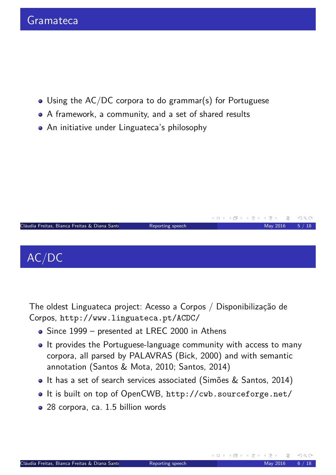- Using the AC/DC corpora to do grammar(s) for Portuguese
- A framework, a community, and a set of shared results
- An initiative under Linguateca's philosophy



The oldest Linguateca project: Acesso a Corpos / Disponibilização de Corpos, http://www.linguateca.pt/ACDC/

- Since 1999 presented at LREC 2000 in Athens
- It provides the Portuguese-language community with access to many corpora, all parsed by PALAVRAS (Bick, 2000) and with semantic [annotation \(Santos &](http://www.linguateca.pt/ACDC/) Mota, 2010; Santos, 2014)
- It has a set of search services associated (Simões & Santos, 2014)
- It is built on top of OpenCWB, http://cwb.sourceforge.net/
- <span id="page-2-0"></span>• 28 corpora, ca. 1.5 billion words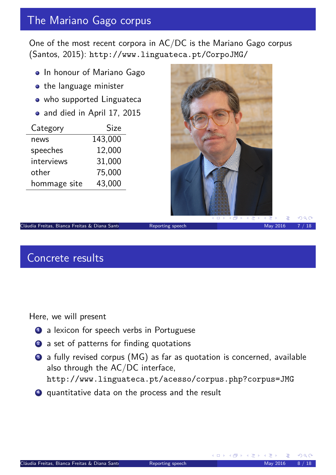# The Mariano Gago corpus

One of the most recent corpora in AC/DC is the Mariano Gago corpus (Santos, 2015): http://www.linguateca.pt/CorpoJMG/

- In honour of Mariano Gago
- o the language minister
- who supported Linguateca
- and died in April 17, 2015

| Category     | <b>Size</b> |
|--------------|-------------|
| news         | 143,000     |
| speeches     | 12,000      |
| interviews   | 31,000      |
| other        | 75,000      |
| hommage site | 43,000      |



Cláudia Freitas, Bianca Freitas & Diana Santos (UiO) Reporting speech May 2016 7 / 18

#### Concrete results

Here, we will present

- **1** a lexicon for speech verbs in Portuguese
- 2 a set of patterns for finding quotations
- <sup>3</sup> [a fully revised corpus \(MG\) as](http://www.linguateca.pt/CorpoJMG/) far as quotation is concerned, available also through the AC/DC interface, http://www.linguateca.pt/acesso/corpus.php?corpus=JMG
- <span id="page-3-0"></span><sup>4</sup> quantitative data on the process and the result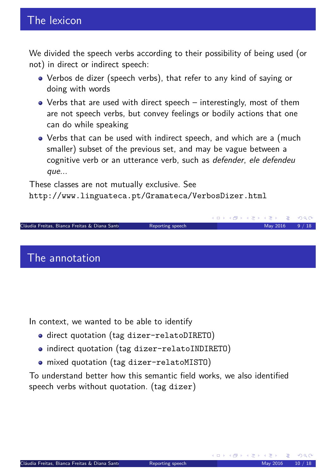We divided the speech verbs according to their possibility of being used (or not) in direct or indirect speech:

- Verbos de dizer (speech verbs), that refer to any kind of saying or doing with words
- Verbs that are used with direct speech interestingly, most of them are not speech verbs, but convey feelings or bodily actions that one can do while speaking
- Verbs that can be used with indirect speech, and which are a (much smaller) subset of the previous set, and may be vague between a cognitive verb or an utterance verb, such as defender, ele defendeu que...

These classes are not mutually exclusive. See

http://www.linguateca.pt/Gramateca/VerbosDizer.html



#### The annotation

In context, we wanted to be able to identify

- o direct quotation (tag dizer-relatoDIRETO)
- indirect quotation (tag dizer-relatoINDIRETO)
- mixed quotation (tag dizer-relatoMISTO)

<span id="page-4-0"></span>To understand better how this semantic field works, we also identified speech verbs without quotation. (tag dizer)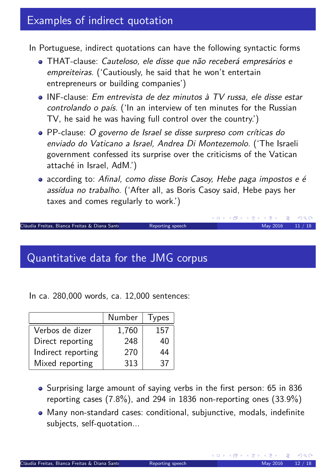#### Examples of indirect quotation

In Portuguese, indirect quotations can have the following syntactic forms

- THAT-clause: Cauteloso, ele disse que não receberá empresários e empreiteiras. ('Cautiously, he said that he won't entertain entrepreneurs or building companies')
- INF-clause: Em entrevista de dez minutos à TV russa, ele disse estar controlando o país. ('In an interview of ten minutes for the Russian TV, he said he was having full control over the country.')
- PP-clause: O governo de Israel se disse surpreso com críticas do enviado do Vaticano a Israel, Andrea Di Montezemolo. ('The Israeli government confessed its surprise over the criticisms of the Vatican attaché in Israel, AdM.')
- according to: Afinal, como disse Boris Casoy, Hebe paga impostos e é assídua no trabalho. ('After all, as Boris Casoy said, Hebe pays her taxes and comes regularly to work.')

Cláudia Freitas, Bianca Freitas & Diana Santo $\sim$  Reporting speech May 2016 11 / 18

#### Quantitative data for the JMG corpus

In ca. 280,000 words, ca. 12,000 sentences:

|                    | Number | Types |
|--------------------|--------|-------|
| Verbos de dizer    | 1,760  | 157   |
| Direct reporting   | 248    | 40    |
| Indirect reporting | 270    | 44    |
| Mixed reporting    | 313    | 37    |

- Surprising large amount of saying verbs in the first person: 65 in 836 reporting cases (7.8%), and 294 in 1836 non-reporting ones (33.9%)
- <span id="page-5-0"></span>Many non-standard cases: conditional, subjunctive, modals, indefinite subjects, self-quotation...

K ロ ▶ K 御 ▶ K 君 ▶ K 君 ▶

 $OQ$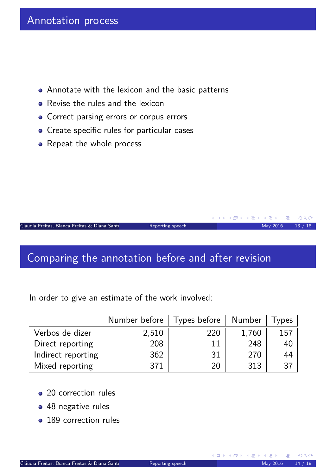- Annotate with the lexicon and the basic patterns
- Revise the rules and the lexicon
- **•** Correct parsing errors or corpus errors
- Create specific rules for particular cases
- Repeat the whole process

Cláudia Freitas, Bianca Freitas & Diana Santos (Union Reporting speech May 2016 13 / 18

#### Comparing the annotation before and after revision

In order to give an estimate of the work involved:

|                    | Number before | Types before | <b>Number</b> | ypes |
|--------------------|---------------|--------------|---------------|------|
| Verbos de dizer    | 2,510         | 220          | 1,760         | 157  |
| Direct reporting   | 208           | 11           | 248           | 40   |
| Indirect reporting | 362           | 31           | 270           | 44   |
| Mixed reporting    | 371           | 20           | 313           | 37   |

- 20 correction rules
- 48 negative rules
- <span id="page-6-0"></span>• 189 correction rules

**K ロ ▶ K 何 ▶ K ミ ▶ K ミ ▶** 

G.

 $OQ$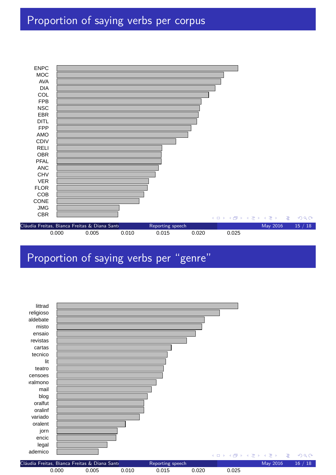# Proportion of saying verbs per corpus



## Proportion of saying verbs per "genre"

<span id="page-7-0"></span>